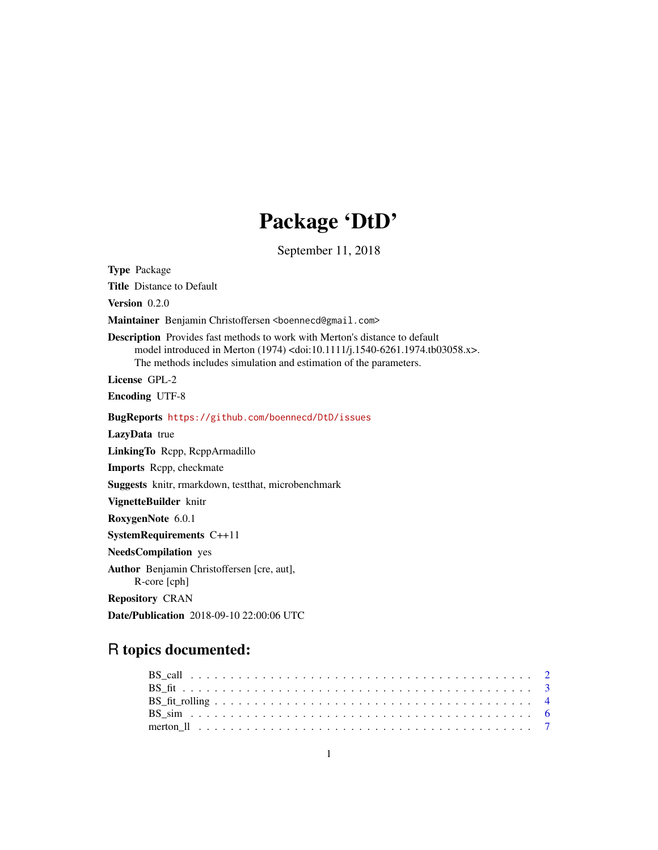## Package 'DtD'

September 11, 2018

<span id="page-0-0"></span>Type Package Title Distance to Default Version 0.2.0 Maintainer Benjamin Christoffersen <br/>boennecd@gmail.com> Description Provides fast methods to work with Merton's distance to default model introduced in Merton (1974) <doi:10.1111/j.1540-6261.1974.tb03058.x>. The methods includes simulation and estimation of the parameters. License GPL-2 Encoding UTF-8 BugReports <https://github.com/boennecd/DtD/issues> LazyData true LinkingTo Rcpp, RcppArmadillo Imports Rcpp, checkmate Suggests knitr, rmarkdown, testthat, microbenchmark VignetteBuilder knitr RoxygenNote 6.0.1 SystemRequirements C++11 NeedsCompilation yes Author Benjamin Christoffersen [cre, aut], R-core [cph] Repository CRAN Date/Publication 2018-09-10 22:00:06 UTC

### R topics documented: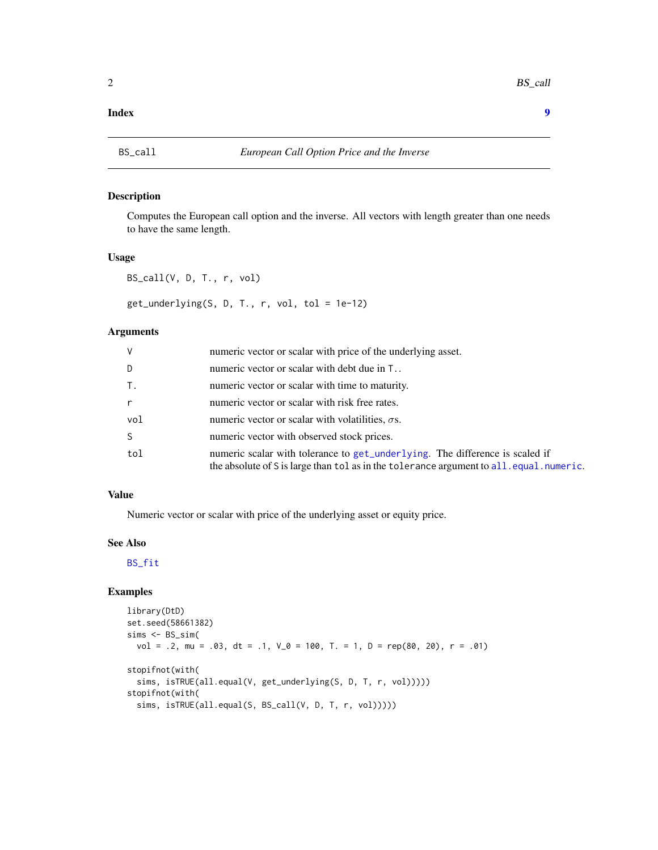#### <span id="page-1-0"></span>**Index** [9](#page-8-0)

#### <span id="page-1-1"></span>Description

Computes the European call option and the inverse. All vectors with length greater than one needs to have the same length.

#### Usage

BS\_call(V, D, T., r, vol)

get\_underlying(S, D, T., r, vol, tol = 1e-12)

#### Arguments

| V   | numeric vector or scalar with price of the underlying asset.                                                                                                           |
|-----|------------------------------------------------------------------------------------------------------------------------------------------------------------------------|
| D.  | numeric vector or scalar with debt due in T                                                                                                                            |
| Τ.  | numeric vector or scalar with time to maturity.                                                                                                                        |
| r   | numeric vector or scalar with risk free rates.                                                                                                                         |
| vol | numeric vector or scalar with volatilities, $\sigma s$ .                                                                                                               |
| S.  | numeric vector with observed stock prices.                                                                                                                             |
| tol | numeric scalar with tolerance to get_underlying. The difference is scaled if<br>the absolute of S is large than tol as in the tolerance argument to all.equal.numeric. |

#### Value

Numeric vector or scalar with price of the underlying asset or equity price.

#### See Also

[BS\\_fit](#page-2-1)

```
library(DtD)
set.seed(58661382)
sims < BS_sism(vol = .2, mu = .03, dt = .1, V_0 = 100, T. = 1, D = rep(80, 20), r = .01)
stopifnot(with(
  sims, isTRUE(all.equal(V, get_underlying(S, D, T, r, vol)))))
stopifnot(with(
  sims, isTRUE(all.equal(S, BS_call(V, D, T, r, vol)))))
```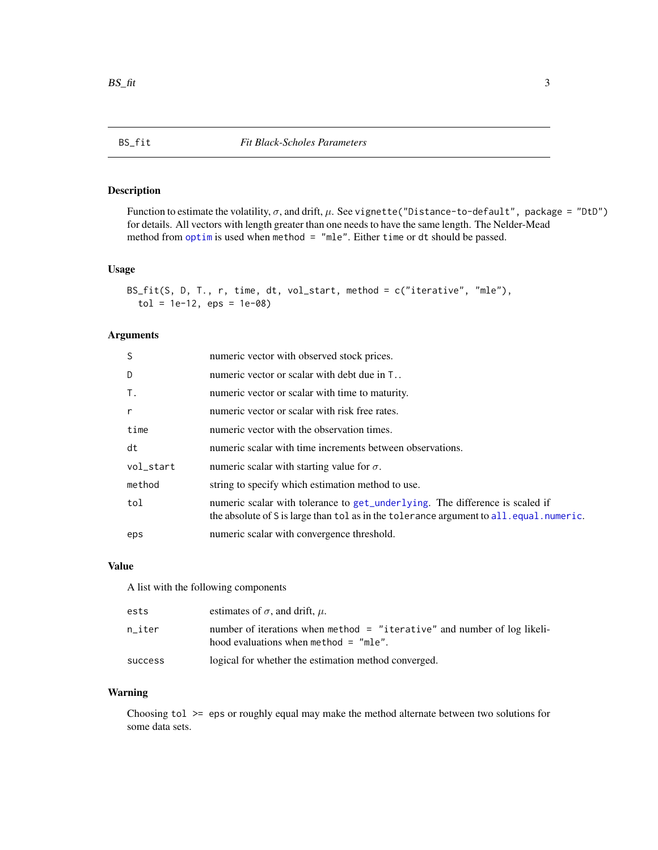<span id="page-2-1"></span><span id="page-2-0"></span>

#### Description

Function to estimate the volatility,  $\sigma$ , and drift,  $\mu$ . See vignette("Distance-to-default", package = "DtD") for details. All vectors with length greater than one needs to have the same length. The Nelder-Mead method from [optim](#page-0-0) is used when method = "mle". Either time or dt should be passed.

#### Usage

```
BS_fit(S, D, T., r, time, dt, vol_start, method = c("iterative", "mle"),
  tol = 1e-12, eps = 1e-08
```
#### Arguments

| <sub>S</sub> | numeric vector with observed stock prices.                                                                                                                               |
|--------------|--------------------------------------------------------------------------------------------------------------------------------------------------------------------------|
| D            | numeric vector or scalar with debt due in T                                                                                                                              |
| <b>T.</b>    | numeric vector or scalar with time to maturity.                                                                                                                          |
| $\mathsf{r}$ | numeric vector or scalar with risk free rates.                                                                                                                           |
| time         | numeric vector with the observation times.                                                                                                                               |
| dt           | numeric scalar with time increments between observations.                                                                                                                |
| vol_start    | numeric scalar with starting value for $\sigma$ .                                                                                                                        |
| method       | string to specify which estimation method to use.                                                                                                                        |
| tol          | numeric scalar with tolerance to get_underlying. The difference is scaled if<br>the absolute of S is large than tol as in the tolerance argument to all. equal. numeric. |
| eps          | numeric scalar with convergence threshold.                                                                                                                               |

#### Value

A list with the following components

| ests    | estimates of $\sigma$ , and drift, $\mu$ .                                                                                                |
|---------|-------------------------------------------------------------------------------------------------------------------------------------------|
| n iter  | number of iterations when method $=$ "iterative" and number of log likeli-<br>hood evaluations when $\mathsf{method} = \mathsf{''mle''}.$ |
| success | logical for whether the estimation method converged.                                                                                      |

#### Warning

Choosing tol >= eps or roughly equal may make the method alternate between two solutions for some data sets.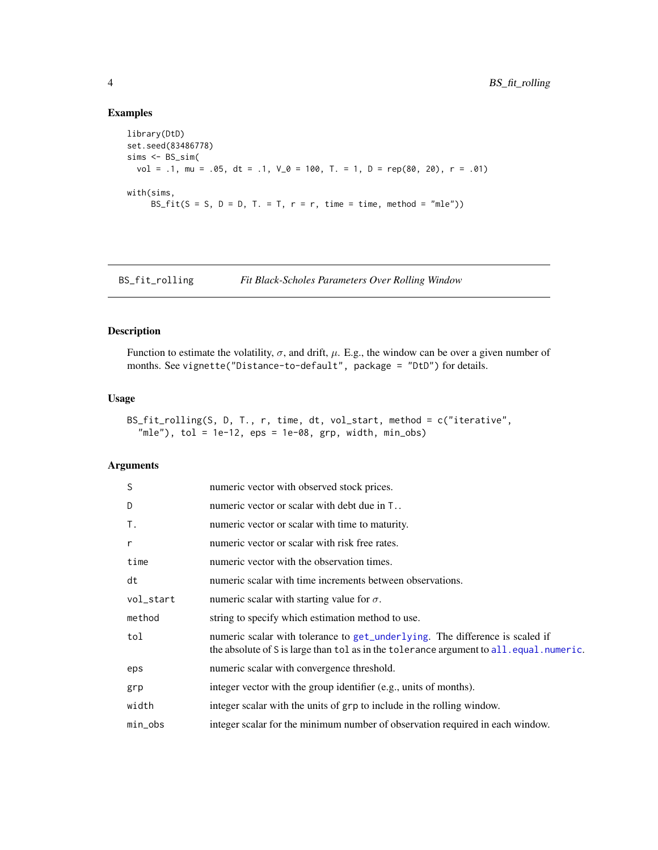#### Examples

```
library(DtD)
set.seed(83486778)
sims < BS_sism(vol = .1, mu = .05, dt = .1, V_0 = 100, T. = 1, D = rep(80, 20), r = .01)
with(sims,
     BS_fit(S = S, D = D, T. = T, r = r, time = time, method = "mle"))
```
BS\_fit\_rolling *Fit Black-Scholes Parameters Over Rolling Window*

#### Description

Function to estimate the volatility,  $\sigma$ , and drift,  $\mu$ . E.g., the window can be over a given number of months. See vignette("Distance-to-default", package = "DtD") for details.

#### Usage

```
BS_fit_rolling(S, D, T., r, time, dt, vol_start, method = c("iterative",
  mle, tol = 1e-12, eps = 1e-08, grp, width, min_obs)
```
#### Arguments

| S          | numeric vector with observed stock prices.                                                                                                                             |
|------------|------------------------------------------------------------------------------------------------------------------------------------------------------------------------|
| D          | numeric vector or scalar with debt due in T                                                                                                                            |
| T.         | numeric vector or scalar with time to maturity.                                                                                                                        |
| r          | numeric vector or scalar with risk free rates.                                                                                                                         |
| time       | numeric vector with the observation times.                                                                                                                             |
| dt         | numeric scalar with time increments between observations.                                                                                                              |
| vol_start  | numeric scalar with starting value for $\sigma$ .                                                                                                                      |
| method     | string to specify which estimation method to use.                                                                                                                      |
| tol        | numeric scalar with tolerance to get_underlying. The difference is scaled if<br>the absolute of S is large than tol as in the tolerance argument to all equal numeric. |
| eps        | numeric scalar with convergence threshold.                                                                                                                             |
| grp        | integer vector with the group identifier (e.g., units of months).                                                                                                      |
| width      | integer scalar with the units of grp to include in the rolling window.                                                                                                 |
| $min\_obs$ | integer scalar for the minimum number of observation required in each window.                                                                                          |

<span id="page-3-0"></span>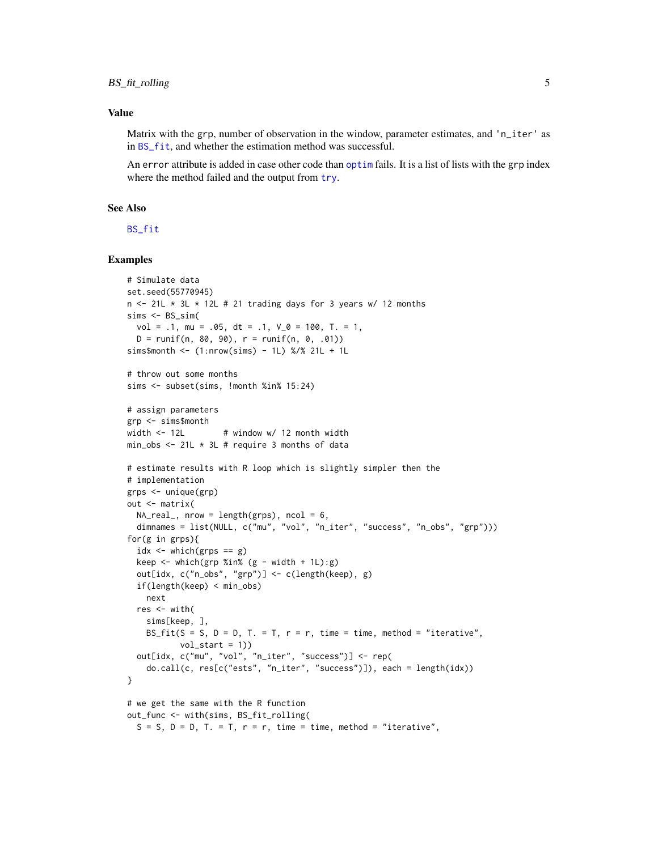#### <span id="page-4-0"></span>Value

Matrix with the grp, number of observation in the window, parameter estimates, and 'n\_iter' as in [BS\\_fit](#page-2-1), and whether the estimation method was successful.

An error attribute is added in case other code than [optim](#page-0-0) fails. It is a list of lists with the grp index where the method failed and the output from [try](#page-0-0).

#### See Also

[BS\\_fit](#page-2-1)

```
# Simulate data
set.seed(55770945)
n \le -21L * 3L * 12L # 21 trading days for 3 years w/ 12 months
sims < BS_sism(vol = .1, mu = .05, dt = .1, V_0 = 100, T. = 1,
  D = runif(n, 80, 90), r = runif(n, 0, .01))sims$month <- (1: nrow(sims) - 1L) %/% 21L + 1L
# throw out some months
sims <- subset(sims, !month %in% 15:24)
# assign parameters
grp <- sims$month
width \le 12L \qquad # window w/ 12 month width
min_obs \le 21L \star 3L # require 3 months of data
# estimate results with R loop which is slightly simpler then the
# implementation
grps <- unique(grp)
out <- matrix(
  NA_{real}, nrow = length(grps), ncol = 6,
  dimnames = list(NULL, c("mu", "vol", "n_iter", "success", "n_obs", "grp")))
for(g in grps){
  idx \leftarrow which(grps == g)
  keep \le which(grp %in% (g - width + 1L):g)
  out[idx, c("n_obs", "grp")] <- c(length(keep), g)
  if(length(keep) < min_obs)
   next
  res <- with(
    sims[keep, ],
   BS_fit(S = S, D = D, T. = T, r = r, time = time, method = "iterative",
           vol\_start = 1)out[idx, c("mu", "vol", "n_iter", "success")] <- rep(
    do.call(c, res[c("ests", "n_iter", "success")]), each = length(idx))
}
# we get the same with the R function
out_func <- with(sims, BS_fit_rolling(
  S = S, D = D, T = T, r = r, time = time, method = "iterative",
```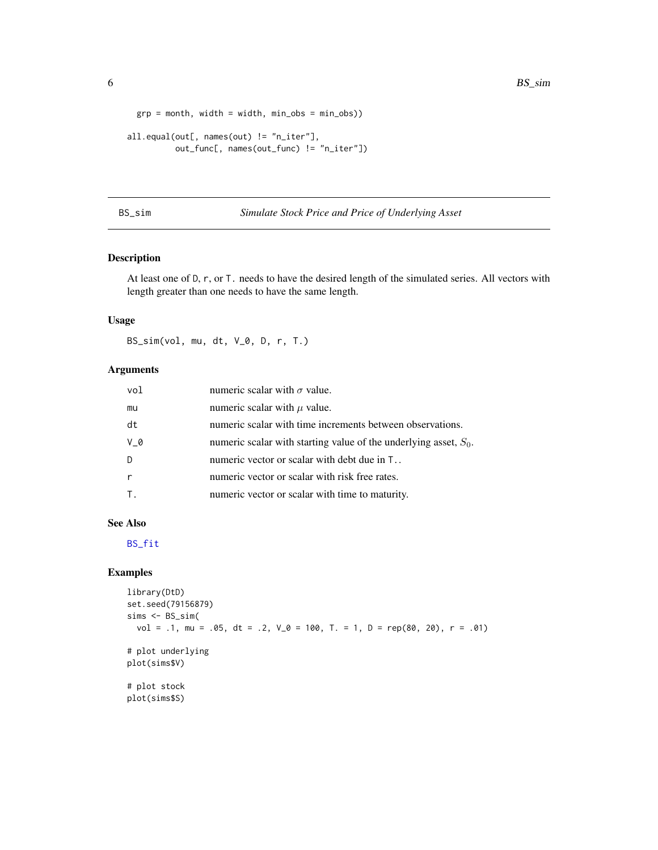```
grp = month, width = width, min_obs = min_obs))
all.equal(out[, names(out) != "n_iter"],
         out_func[, names(out_func) != "n_iter"])
```
#### BS\_sim *Simulate Stock Price and Price of Underlying Asset*

#### Description

At least one of D, r, or T. needs to have the desired length of the simulated series. All vectors with length greater than one needs to have the same length.

#### Usage

BS\_sim(vol, mu, dt, V\_0, D, r, T.)

#### Arguments

| vol | numeric scalar with $\sigma$ value.                                 |
|-----|---------------------------------------------------------------------|
| mu  | numeric scalar with $\mu$ value.                                    |
| dt  | numeric scalar with time increments between observations.           |
| V 0 | numeric scalar with starting value of the underlying asset, $S_0$ . |
| D   | numeric vector or scalar with debt due in T                         |
|     | numeric vector or scalar with risk free rates.                      |
|     | numeric vector or scalar with time to maturity.                     |

#### See Also

[BS\\_fit](#page-2-1)

```
library(DtD)
set.seed(79156879)
sims <- BS_sim(
  vol = .1, mu = .05, dt = .2, V_0 = 100, T. = 1, D = rep(80, 20), r = .01)
# plot underlying
plot(sims$V)
# plot stock
plot(sims$S)
```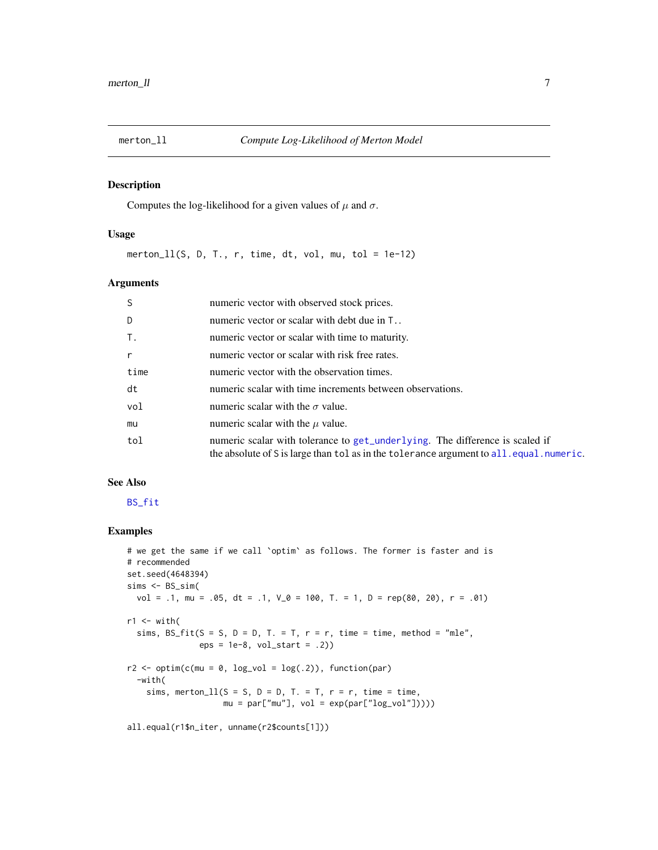<span id="page-6-0"></span>

#### Description

Computes the log-likelihood for a given values of  $\mu$  and  $\sigma$ .

#### Usage

merton\_ $11(S, D, T., r, time, dt, vol, mu, tol = 1e-12)$ 

#### Arguments

| -S           | numeric vector with observed stock prices.                                                                                                                               |
|--------------|--------------------------------------------------------------------------------------------------------------------------------------------------------------------------|
| D            | numeric vector or scalar with debt due in T                                                                                                                              |
| $T_{\star}$  | numeric vector or scalar with time to maturity.                                                                                                                          |
| $\mathsf{r}$ | numeric vector or scalar with risk free rates.                                                                                                                           |
| time         | numeric vector with the observation times.                                                                                                                               |
| dt           | numeric scalar with time increments between observations.                                                                                                                |
| vol          | numeric scalar with the $\sigma$ value.                                                                                                                                  |
| mu           | numeric scalar with the $\mu$ value.                                                                                                                                     |
| tol          | numeric scalar with tolerance to get_underlying. The difference is scaled if<br>the absolute of S is large than tol as in the tolerance argument to all. equal. numeric. |

#### See Also

#### [BS\\_fit](#page-2-1)

```
# we get the same if we call `optim` as follows. The former is faster and is
# recommended
set.seed(4648394)
sims <- BS_sim(
  vol = .1, mu = .05, dt = .1, V<sub>-</sub>0 = 100, T. = 1, D = rep(80, 20), r = .01)
r1 <- with(
  sims, BS_fitt(S = S, D = D, T. = T, r = r, time = time, method = "mle",eps = 1e-8, vol\_start = .2)r2 \leq -\text{optim}(c(\text{mu} = 0, \text{log\_vol} = \log(.2)), \text{ function}(par)-with(
    sims, merton_ll(S = S, D = D, T. = T, r = r, time = time,
                     mu = par["mu"], vol = exp(par["log_vol"])))all.equal(r1$n_iter, unname(r2$counts[1]))
```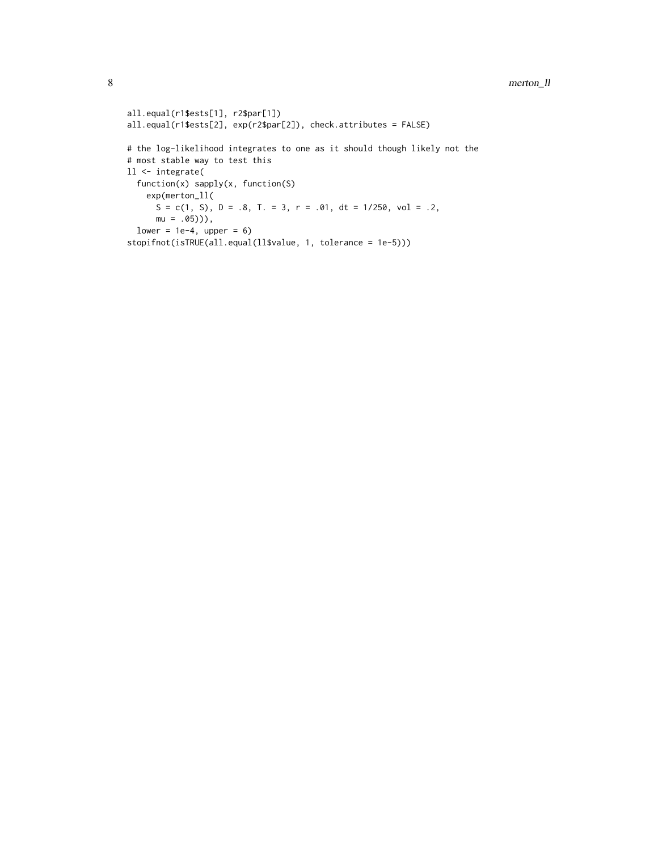```
all.equal(r1$ests[1], r2$par[1])
all.equal(r1$ests[2], exp(r2$par[2]), check.attributes = FALSE)
# the log-likelihood integrates to one as it should though likely not the
# most stable way to test this
ll <- integrate(
 function(x) sapply(x, function(S)
    exp(merton_ll(
      S = c(1, S), D = .8, T. = 3, r = .01, dt = 1/250, vol = .2,mu = .05)),
  lower = 1e-4, upper = 6)
stopifnot(isTRUE(all.equal(ll$value, 1, tolerance = 1e-5)))
```